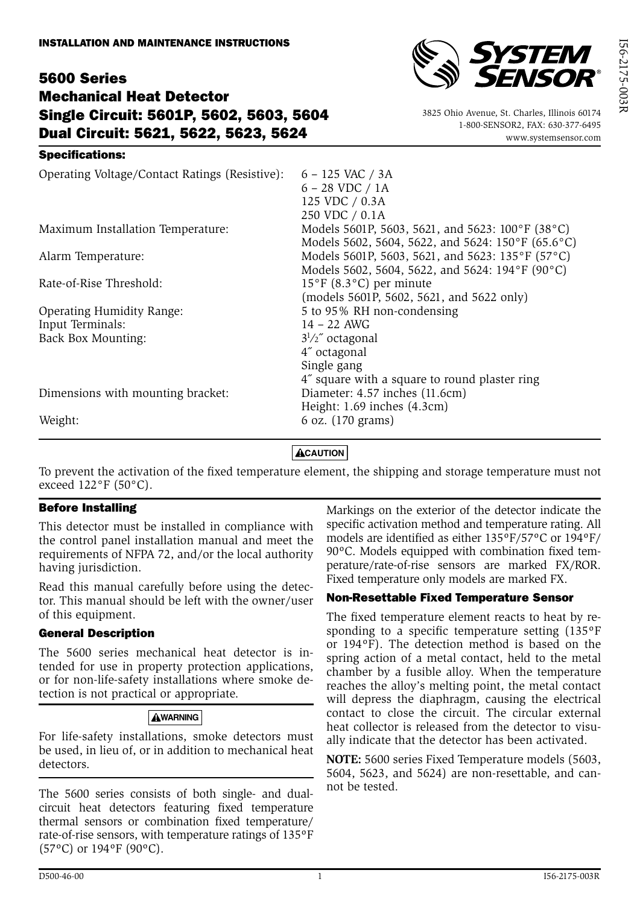## 5600 Series Mechanical Heat Detector Single Circuit: 5601P, 5602, 5603, 5604 Dual Circuit: 5621, 5622, 5623, 5624

#### Specifications:



 3825 Ohio Avenue, St. Charles, Illinois 60174 1-800-SENSOR2, FAX: 630-377-6495 www.systemsensor.com

| Operating Voltage/Contact Ratings (Resistive): | $6 - 125$ VAC / 3A<br>$6 - 28$ VDC $/ 1A$<br>125 VDC / 0.3A<br>250 VDC / 0.1A                                      |
|------------------------------------------------|--------------------------------------------------------------------------------------------------------------------|
| Maximum Installation Temperature:              | Models 5601P, 5603, 5621, and 5623: 100°F (38°C)<br>Models 5602, 5604, 5622, and 5624: 150°F (65.6°C)              |
| Alarm Temperature:                             | Models 5601P, 5603, 5621, and 5623: 135°F (57°C)<br>Models 5602, 5604, 5622, and 5624: 194°F (90°C)                |
| Rate-of-Rise Threshold:                        | $15^{\circ}$ F (8.3 $^{\circ}$ C) per minute<br>(models 5601P, 5602, 5621, and 5622 only)                          |
| Operating Humidity Range:                      | 5 to 95% RH non-condensing                                                                                         |
| Input Terminals:                               | $14 - 22$ AWG                                                                                                      |
| Back Box Mounting:                             | $3^{1}/2$ octagonal<br>4" octagonal<br>Single gang                                                                 |
| Dimensions with mounting bracket:              | 4" square with a square to round plaster ring<br>Diameter: 4.57 inches (11.6cm)<br>Height: $1.69$ inches $(4.3cm)$ |
| Weight:                                        | 6 oz. (170 grams)                                                                                                  |

## **ACAUTION**

To prevent the activation of the fixed temperature element, the shipping and storage temperature must not exceed 122°F (50°C).

#### Before Installing

This detector must be installed in compliance with the control panel installation manual and meet the requirements of NFPA 72, and/or the local authority having jurisdiction.

Read this manual carefully before using the detector. This manual should be left with the owner/user of this equipment.

#### General Description

The 5600 series mechanical heat detector is intended for use in property protection applications, or for non-life-safety installations where smoke detection is not practical or appropriate.

#### **AWARNING**

For life-safety installations, smoke detectors must be used, in lieu of, or in addition to mechanical heat detectors.

The 5600 series consists of both single- and dualcircuit heat detectors featuring fixed temperature thermal sensors or combination fixed temperature/ rate-of-rise sensors, with temperature ratings of 135ºF (57ºC) or 194ºF (90ºC).

Markings on the exterior of the detector indicate the specific activation method and temperature rating. All models are identified as either 135ºF/57ºC or 194ºF/ 90ºC. Models equipped with combination fixed temperature/rate-of-rise sensors are marked FX/ROR. Fixed temperature only models are marked FX.

#### Non-Resettable Fixed Temperature Sensor

The fixed temperature element reacts to heat by responding to a specific temperature setting (135ºF or 194ºF). The detection method is based on the spring action of a metal contact, held to the metal chamber by a fusible alloy. When the temperature reaches the alloy's melting point, the metal contact will depress the diaphragm, causing the electrical contact to close the circuit. The circular external heat collector is released from the detector to visually indicate that the detector has been activated.

**NOTE:** 5600 series Fixed Temperature models (5603, 5604, 5623, and 5624) are non-resettable, and cannot be tested.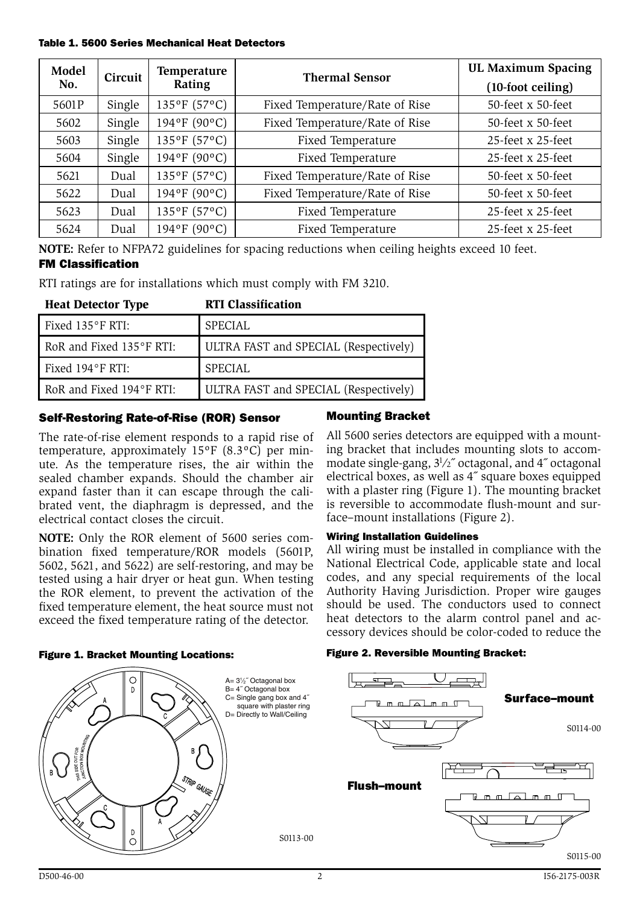Table 1. 5600 Series Mechanical Heat Detectors

| Model | Circuit | Temperature  | <b>Thermal Sensor</b>          | <b>UL Maximum Spacing</b> |
|-------|---------|--------------|--------------------------------|---------------------------|
| No.   |         | Rating       |                                | (10-foot ceiling)         |
| 5601P | Single  | 135°F (57°C) | Fixed Temperature/Rate of Rise | 50-feet x 50-feet         |
| 5602  | Single  | 194°F (90°C) | Fixed Temperature/Rate of Rise | 50-feet x 50-feet         |
| 5603  | Single  | 135°F (57°C) | Fixed Temperature              | 25-feet x 25-feet         |
| 5604  | Single  | 194°F (90°C) | Fixed Temperature              | 25-feet x 25-feet         |
| 5621  | Dual    | 135°F (57°C) | Fixed Temperature/Rate of Rise | $50$ -feet x $50$ -feet   |
| 5622  | Dual    | 194°F (90°C) | Fixed Temperature/Rate of Rise | 50-feet x 50-feet         |
| 5623  | Dual    | 135°F (57°C) | Fixed Temperature              | 25-feet x 25-feet         |
| 5624  | Dual    | 194°F (90°C) | Fixed Temperature              | 25-feet x 25-feet         |

**NOTE:** Refer to NFPA72 guidelines for spacing reductions when ceiling heights exceed 10 feet.

#### FM Classification

RTI ratings are for installations which must comply with FM 3210.

| <b>Heat Detector Type</b>  | <b>RTI Classification</b>             |
|----------------------------|---------------------------------------|
| Fixed $135^{\circ}$ F RTI: | <b>SPECIAL</b>                        |
| RoR and Fixed 135°F RTI:   | ULTRA FAST and SPECIAL (Respectively) |
| Fixed $194^\circ$ F RTI:   | SPECIAL                               |
| RoR and Fixed 194°F RTI:   | ULTRA FAST and SPECIAL (Respectively) |

#### Self-Restoring Rate-of-Rise (ROR) Sensor

The rate-of-rise element responds to a rapid rise of temperature, approximately 15ºF (8.3ºC) per minute. As the temperature rises, the air within the sealed chamber expands. Should the chamber air expand faster than it can escape through the calibrated vent, the diaphragm is depressed, and the electrical contact closes the circuit.

**NOTE:** Only the ROR element of 5600 series combination fixed temperature/ROR models (5601P, 5602, 5621, and 5622) are self-restoring, and may be tested using a hair dryer or heat gun. When testing the ROR element, to prevent the activation of the fixed temperature element, the heat source must not exceed the fixed temperature rating of the detector.

## Mounting Bracket

All 5600 series detectors are equipped with a mounting bracket that includes mounting slots to accommodate single-gang,  $3\frac{1}{2}$  octagonal, and 4" octagonal electrical boxes, as well as 4˝ square boxes equipped with a plaster ring (Figure 1). The mounting bracket is reversible to accommodate flush-mount and surface–mount installations (Figure 2).

#### Wiring Installation Guidelines

All wiring must be installed in compliance with the National Electrical Code, applicable state and local codes, and any special requirements of the local Authority Having Jurisdiction. Proper wire gauges should be used. The conductors used to connect heat detectors to the alarm control panel and accessory devices should be color-coded to reduce the

#### Figure 1. Bracket Mounting Locations:



#### Figure 2. Reversible Mounting Bracket:

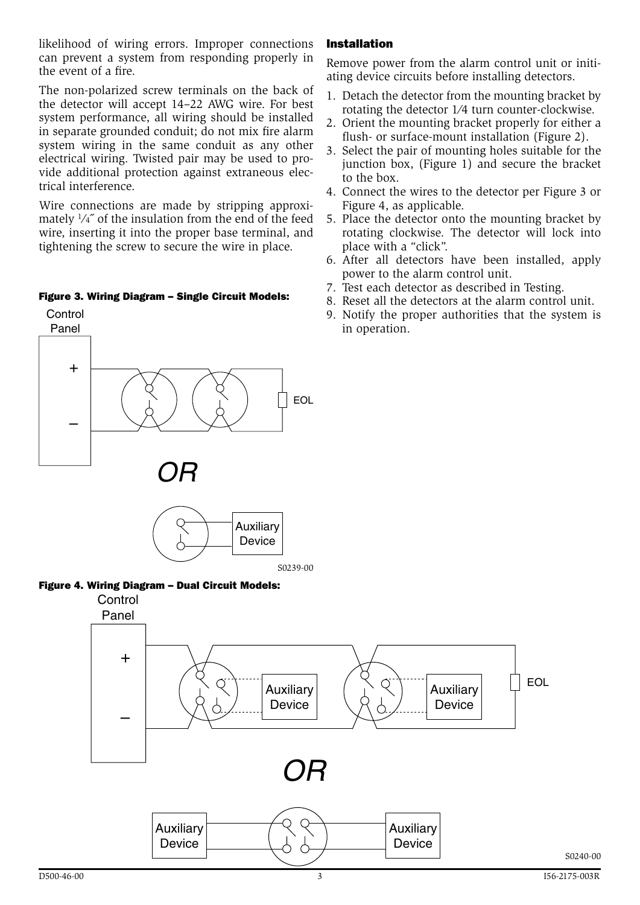likelihood of wiring errors. Improper connections can prevent a system from responding properly in the event of a fire.

The non-polarized screw terminals on the back of the detector will accept 14–22 AWG wire. For best system performance, all wiring should be installed in separate grounded conduit; do not mix fire alarm system wiring in the same conduit as any other electrical wiring. Twisted pair may be used to provide additional protection against extraneous electrical interference.

Wire connections are made by stripping approximately 1⁄4˝ of the insulation from the end of the feed wire, inserting it into the proper base terminal, and tightening the screw to secure the wire in place.

#### Figure 3. Wiring Diagram – Single Circuit Models:

# + – EOL *OR* **Control** Panel







#### Installation

Remove power from the alarm control unit or initiating device circuits before installing detectors.

- 1. Detach the detector from the mounting bracket by rotating the detector 1⁄4 turn counter-clockwise.
- 2. Orient the mounting bracket properly for either a flush- or surface-mount installation (Figure 2).
- 3. Select the pair of mounting holes suitable for the junction box, (Figure 1) and secure the bracket to the box.
- 4. Connect the wires to the detector per Figure 3 or Figure 4, as applicable.
- 5. Place the detector onto the mounting bracket by rotating clockwise. The detector will lock into place with a "click".
- 6. After all detectors have been installed, apply power to the alarm control unit.
- 7. Test each detector as described in Testing.
- 8. Reset all the detectors at the alarm control unit.
- 9. Notify the proper authorities that the system is in operation.

S0240-00